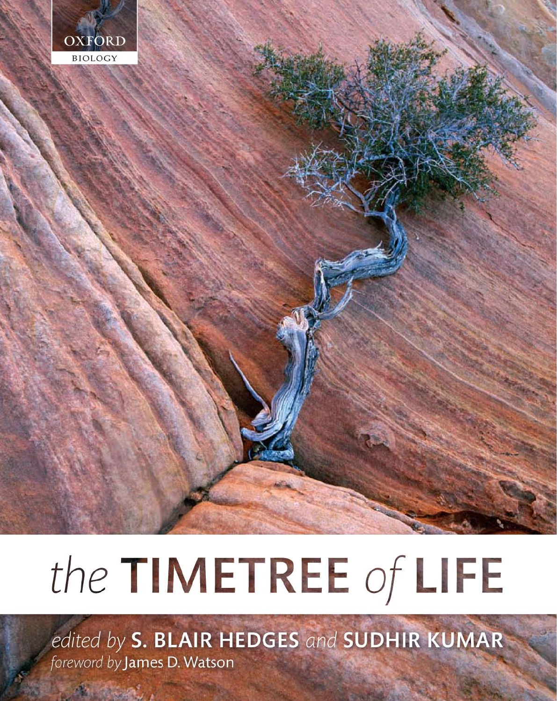

# the TIMETREE of LIFE

edited by S. BLAIR HEDGES and SUDHIR KUMAR foreword by James D. Watson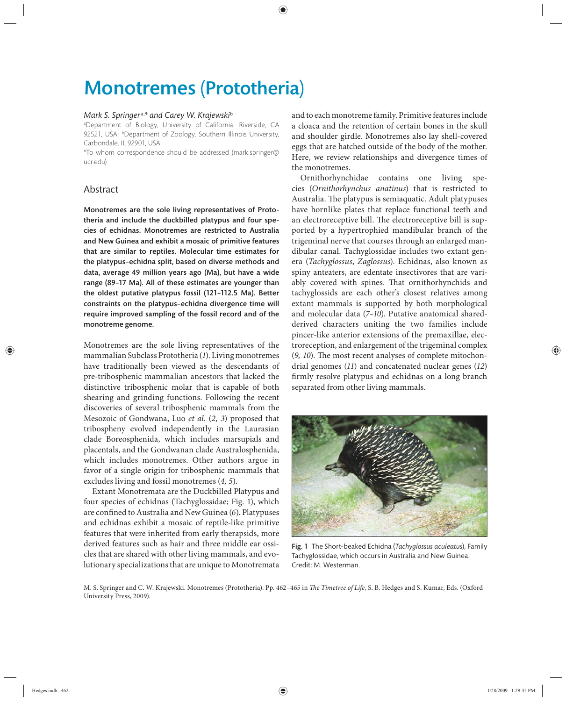# Monotremes (Prototheria)

#### *Mark S. Springer* a,*\* and Carey W. Krajewski*<sup>b</sup>

a Department of Biology, University of California, Riverside, CA 92521, USA; <sup>b</sup>Department of Zoology, Southern Illinois University, Carbondale, IL 92901, USA

\*To whom correspondence should be addressed (mark.springer@ ucredu)

## Abstract

Monotremes are the sole living representatives of Prototheria and include the duckbilled platypus and four species of echidnas. Monotremes are restricted to Australia and New Guinea and exhibit a mosaic of primitive features that are similar to reptiles. Molecular time estimates for the platypus–echidna split, based on diverse methods and data, average 49 million years ago (Ma), but have a wide range (89–17 Ma). All of these estimates are younger than the oldest putative platypus fossil (121-112.5 Ma). Better constraints on the platypus–echidna divergence time will require improved sampling of the fossil record and of the monotreme genome.

Monotremes are the sole living representatives of the mammalian Subclass Prototheria (*1*). Living monotremes have traditionally been viewed as the descendants of pre-tribosphenic mammalian ancestors that lacked the distinctive tribosphenic molar that is capable of both shearing and grinding functions. Following the recent discoveries of several tribosphenic mammals from the Mesozoic of Gondwana, Luo *et al.* (*2, 3*) proposed that tribospheny evolved independently in the Laurasian clade Boreosphenida, which includes marsupials and placentals, and the Gondwanan clade Australosphenida, which includes monotremes. Other authors argue in favor of a single origin for tribosphenic mammals that excludes living and fossil monotremes (*4, 5*).

Extant Monotremata are the Duckbilled Platypus and four species of echidnas (Tachyglossidae; Fig. 1), which are confined to Australia and New Guinea (6). Platypuses and echidnas exhibit a mosaic of reptile-like primitive features that were inherited from early therapsids, more derived features such as hair and three middle ear ossicles that are shared with other living mammals, and evolutionary specializations that are unique to Monotremata

and to each monotreme family. Primitive features include a cloaca and the retention of certain bones in the skull and shoulder girdle. Monotremes also lay shell-covered eggs that are hatched outside of the body of the mother. Here, we review relationships and divergence times of the monotremes.

Ornithorhynchidae contains one living species (*Ornithorhynchus anatinus*) that is restricted to Australia. The platypus is semiaquatic. Adult platypuses have hornlike plates that replace functional teeth and an electroreceptive bill. The electroreceptive bill is supported by a hypertrophied mandibular branch of the trigeminal nerve that courses through an enlarged mandibular canal. Tachyglossidae includes two extant genera (*Tachyglossus*, *Zaglossus*). Echidnas, also known as spiny anteaters, are edentate insectivores that are variably covered with spines. That ornithorhynchids and tachyglossids are each other's closest relatives among extant mammals is supported by both morphological and molecular data (*7–10*). Putative anatomical sharedderived characters uniting the two families include pincer-like anterior extensions of the premaxillae, electroreception, and enlargement of the trigeminal complex (9, 10). The most recent analyses of complete mitochondrial genomes (*11*) and concatenated nuclear genes (*12*) firmly resolve platypus and echidnas on a long branch separated from other living mammals.



Fig. 1 The Short-beaked Echidna (*Tachyglossus aculeatus*), Family Tachyglossidae, which occurs in Australia and New Guinea. Credit: M. Westerman.

M. S. Springer and C. W. Krajewski. Monotremes (Prototheria). Pp. 462-465 in *The Timetree of Life*, S. B. Hedges and S. Kumar, Eds. (Oxford University Press, 2009).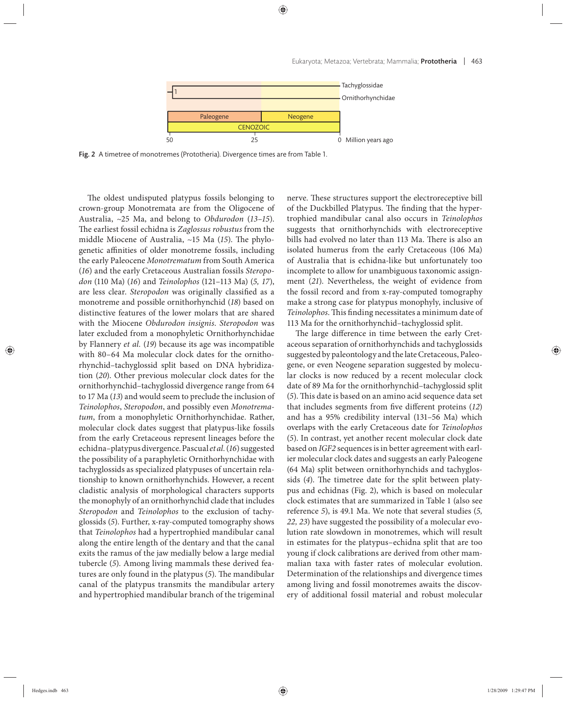

Fig. 2 A timetree of monotremes (Prototheria). Divergence times are from Table 1.

The oldest undisputed platypus fossils belonging to crown-group Monotremata are from the Oligocene of Australia, ~25 Ma, and belong to *Obdurodon* (13-15). The earliest fossil echidna is Zaglossus robustus from the middle Miocene of Australia, ~15 Ma (15). The phylogenetic affinities of older monotreme fossils, including the early Paleocene *Monotrematum* from South America (*16*) and the early Cretaceous Australian fossils *Steropodon* (110 Ma) (*16*) and *Teinolophos* (121–113 Ma) (*5, 17*), are less clear. *Steropodon* was originally classified as a monotreme and possible ornithorhynchid (*18*) based on distinctive features of the lower molars that are shared with the Miocene *Obdurodon insignis*. *Steropodon* was later excluded from a monophyletic Ornithorhynchidae by Flannery *et al.* (*19*) because its age was incompatible with 80–64 Ma molecular clock dates for the ornithorhynchid–tachyglossid split based on DNA hybridization (*20*). Other previous molecular clock dates for the ornithorhynchid–tachyglossid divergence range from 64 to 17 Ma (*13*) and would seem to preclude the inclusion of *Teinolophos*, *Steropodon*, and possibly even *Monotrematum*, from a monophyletic Ornithorhynchidae. Rather, molecular clock dates suggest that platypus-like fossils from the early Cretaceous represent lineages before the echidna–platypus divergence. Pascual *et al.* (*16*) suggested the possibility of a paraphyletic Ornithorhynchidae with tachyglossids as specialized platypuses of uncertain relationship to known ornithorhynchids. However, a recent cladistic analysis of morphological characters supports the monophyly of an ornithorhynchid clade that includes *Steropodon* and *Teinolophos* to the exclusion of tachyglossids (*5*). Further, x-ray-computed tomography shows that *Teinolophos* had a hypertrophied mandibular canal along the entire length of the dentary and that the canal exits the ramus of the jaw medially below a large medial tubercle (*5*). Among living mammals these derived features are only found in the platypus (5). The mandibular canal of the platypus transmits the mandibular artery and hypertrophied mandibular branch of the trigeminal nerve. These structures support the electroreceptive bill of the Duckbilled Platypus. The finding that the hypertrophied mandibular canal also occurs in *Teinolophos* suggests that ornithorhynchids with electroreceptive bills had evolved no later than 113 Ma. There is also an isolated humerus from the early Cretaceous (106 Ma) of Australia that is echidna-like but unfortunately too incomplete to allow for unambiguous taxonomic assignment (*21*). Nevertheless, the weight of evidence from the fossil record and from x-ray-computed tomography make a strong case for platypus monophyly, inclusive of Teinolophos. This finding necessitates a minimum date of 113 Ma for the ornithorhynchid–tachyglossid split.

The large difference in time between the early Cretaceous separation of ornithorhynchids and tachyglossids suggested by paleontology and the late Cretaceous, Paleogene, or even Neogene separation suggested by molecular clocks is now reduced by a recent molecular clock date of 89 Ma for the ornithorhynchid– tachyglossid split (5). This date is based on an amino acid sequence data set that includes segments from five different proteins (12) and has a 95% credibility interval (131–56 Ma) which overlaps with the early Cretaceous date for *Teinolophos* (*5*). In contrast, yet another recent molecular clock date based on *IGF2* sequences is in better agreement with earlier molecular clock dates and suggests an early Paleogene (64 Ma) split between ornithorhynchids and tachyglossids (4). The timetree date for the split between platypus and echidnas (Fig. 2), which is based on molecular clock estimates that are summarized in Table 1 (also see reference *5*), is 49.1 Ma. We note that several studies (*5, 22, 23*) have suggested the possibility of a molecular evolution rate slowdown in monotremes, which will result in estimates for the platypus–echidna split that are too young if clock calibrations are derived from other mammalian taxa with faster rates of molecular evolution. Determination of the relationships and divergence times among living and fossil monotremes awaits the discovery of additional fossil material and robust molecular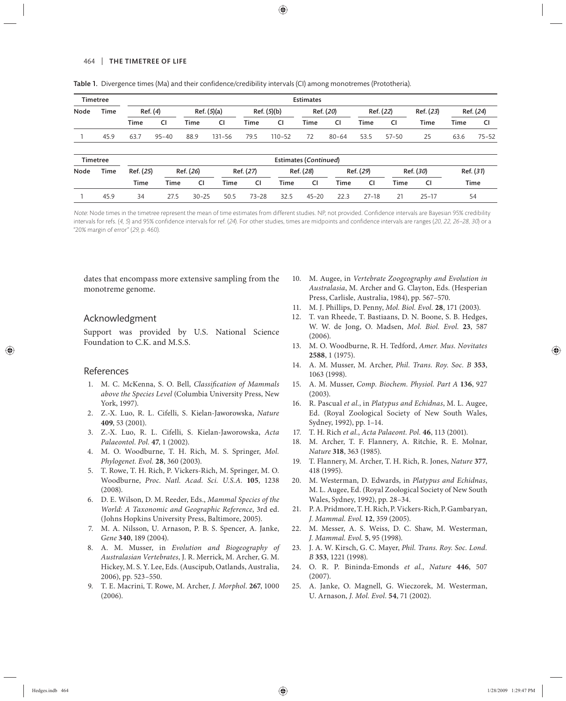#### 464 | THE TIMETREE OF LIFE

| Timetree |             | <b>Estimates</b> |             |             |            |             |            |                       |           |             |           |             |           |           |
|----------|-------------|------------------|-------------|-------------|------------|-------------|------------|-----------------------|-----------|-------------|-----------|-------------|-----------|-----------|
| Node     | Time        | Ref. (4)         |             | Ref. (5)(a) |            | Ref. (5)(b) |            | Ref. (20)             |           | Ref. (22)   |           | Ref. (23)   | Ref. (24) |           |
|          |             | <b>Time</b>      | <b>CI</b>   | <b>Time</b> | CI         | Time        | <b>CI</b>  | Time                  | CI        | <b>Time</b> | <b>CI</b> | <b>Time</b> | Time      | <b>CI</b> |
|          | 45.9        | 63.7             | $95 - 40$   | 88.9        | $131 - 56$ | 79.5        | $110 - 52$ | 72                    | $80 - 64$ | 53.5        | $57 - 50$ | 25          | 63.6      | $75 - 52$ |
|          | Timetree    |                  |             |             |            |             |            | Estimates (Continued) |           |             |           |             |           |           |
| Node     | <b>Time</b> | Ref. (25)        |             | Ref. (26)   |            | Ref. (27)   | Ref. (28)  |                       | Ref. (29) |             | Ref. (30) |             | Ref. (31) |           |
|          |             | <b>Time</b>      | <b>Time</b> | CI          | Time       | <b>CI</b>   | Time       | <b>CI</b>             | Time      | CI          | Time      | CI          |           | Time      |
|          | 45.9        | 34               | 27.5        | $30 - 25$   | 50.5       | $73 - 28$   | 32.5       | $45 - 20$             | 22.3      | $27 - 18$   | 21        | $25 - 17$   | 54        |           |

Table 1. Divergence times (Ma) and their confidence/credibility intervals (CI) among monotremes (Prototheria).

Note: Node times in the timetree represent the mean of time estimates from different studies. NP, not provided. Confidence intervals are Bayesian 95% credibility intervals for refs. (4, 5) and 95% confidence intervals for ref. (24). For other studies, times are midpoints and confidence intervals are ranges (20, 22, 26-28, 30) or a "20% margin of error" (29, p. 460).

dates that encompass more extensive sampling from the monotreme genome.

### Acknowledgment

Support was provided by U.S. National Science Foundation to C.K. and M.S.S.

#### References

- 1. M. C. McKenna, S. O. Bell, *Classification of Mammals above the Species Level* (Columbia University Press, New York, 1997).
- 2. Z.-X. Luo, R. L. Cifelli, S. Kielan-Jaworowska, *Nature* **409**, 53 (2001).
- 3. Z.-X. Luo, R. L. Cifelli, S. Kielan-Jaworowska, *Acta Palaeontol. Pol.* **47**, 1 (2002).
- 4. M. O. Woodburne, T. H. Rich, M. S. Springer, *Mol. Phylogenet. Evol.* **28**, 360 (2003).
- 5. T. Rowe, T. H. Rich, P. Vickers-Rich, M. Springer, M. O. Woodburne, *Proc. Natl. Acad. Sci. U.S.A.* **105**, 1238 (2008).
- 6. D. E. Wilson, D. M. Reeder, Eds., *Mammal Species of the World: A Taxonomic and Geographic Reference*, 3rd ed. (Johns Hopkins University Press, Baltimore, 2005).
- 7. M. A. Nilsson, U. Arnason, P. B. S. Spencer, A. Janke, *Gene* **340**, 189 (2004).
- 8. A. M. Musser, in *Evolution and Biogeography of Australasian Vertebrates*, J. R. Merrick, M. Archer, G. M. Hickey, M. S. Y. Lee, Eds. (Auscipub, Oatlands, Australia, 2006), pp. 523–550.
- 9. T. E. Macrini, T. Rowe, M. Archer, *J. Morphol*. **267**, 1000 (2006).
- 10. M. Augee, in *Vertebrate Zoogeography and Evolution in Australasia*, M. Archer and G. Clayton, Eds. (Hesperian Press, Carlisle, Australia, 1984), pp. 567–570.
- 11. M. J. Phillips, D. Penny, *Mol. Biol. Evol.* **28**, 171 (2003).
- 12. T. van Rheede, T. Bastiaans, D. N. Boone, S. B. Hedges, W. W. de Jong, O. Madsen, *Mol. Biol. Evol.* **23**, 587 (2006).
- 13. M. O. Woodburne, R. H. Tedford, *Amer. Mus. Novitates* **2588**, 1 (1975).
- 14. A. M. Musser, M. Archer, *Phil. Trans. Roy. Soc. B* **353**, 1063 (1998).
- 15. A. M. Musser, *Comp. Biochem. Physiol. Part A* **136**, 927 (2003).
- 16. R. Pascual *et al.*, in *Platypus and Echidnas*, M. L. Augee, Ed. (Royal Zoological Society of New South Wales, Sydney, 1992), pp. 1–14.
- 17. T. H. Rich *et al.*, *Acta Palaeont. Pol.* **46**, 113 (2001).
- 18. M. Archer, T. F. Flannery, A. Ritchie, R. E. Molnar, *Nature* **318**, 363 (1985).
- 19. T. Flannery, M. Archer, T. H. Rich, R. Jones, *Nature* **377**, 418 (1995).
- 20. M. Westerman, D. Edwards, in *Platypus and Echidnas*, M. L. Augee, Ed. (Royal Zoological Society of New South Wales, Sydney, 1992), pp. 28–34.
- 21. P. A. Pridmore, T. H. Rich, P. Vickers-Rich, P. Gambaryan, *J. Mammal. Evol.* **12**, 359 (2005).
- 22. M. Messer, A. S. Weiss, D. C. Shaw, M. Westerman, *J. Mammal. Evol.* **5**, 95 (1998).
- 23. J. A. W. Kirsch, G. C. Mayer, *Phil. Trans. Roy. Soc. Lond. B* **353**, 1221 (1998).
- 24. O. R. P. Bininda-Emonds *et al.*, *Nature* **446**, 507 (2007).
- 25. A. Janke, O. Magnell, G. Wieczorek, M. Westerman, U. Arnason, *J. Mol. Evol.* **54**, 71 (2002).